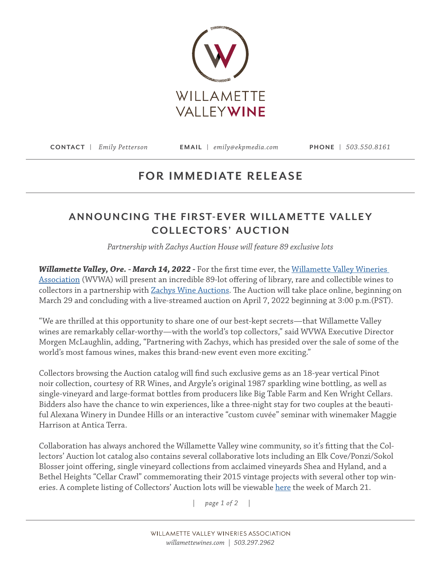

**CONTACT |** *Emily Petterson* **EMAIL |** *emily@ekpmedia.com* **PHONE |** *503.550.8161*

## **FOR IMMEDIATE RELEASE**

## **ANNOUNCING THE FIRST-EVER WILLAMETTE VALLEY COLLECTORS' AUCTION**

*Partnership with Zachys Auction House will feature 89 exclusive lots*

Willamette Valley, Ore. - March 14, 2022 - For the first time ever, the Willamette Valley Wineries [Association](http://www.willamettewines.com) (WVWA) will present an incredible 89-lot offering of library, rare and collectible wines to collectors in a partnership with [Zachys Wine Auctions](https://auction.zachys.com/). The Auction will take place online, beginning on March 29 and concluding with a live-streamed auction on April 7, 2022 beginning at 3:00 p.m.(PST).

"We are thrilled at this opportunity to share one of our best-kept secrets—that Willamette Valley wines are remarkably cellar-worthy—with the world's top collectors," said WVWA Executive Director Morgen McLaughlin, adding, "Partnering with Zachys, which has presided over the sale of some of the world's most famous wines, makes this brand-new event even more exciting."

Collectors browsing the Auction catalog will find such exclusive gems as an 18-year vertical Pinot noir collection, courtesy of RR Wines, and Argyle's original 1987 sparkling wine bottling, as well as single-vineyard and large-format bottles from producers like Big Table Farm and Ken Wright Cellars. Bidders also have the chance to win experiences, like a three-night stay for two couples at the beautiful Alexana Winery in Dundee Hills or an interactive "custom cuvée" seminar with winemaker Maggie Harrison at Antica Terra.

Collaboration has always anchored the Willamette Valley wine community, so it's fitting that the Collectors' Auction lot catalog also contains several collaborative lots including an Elk Cove/Ponzi/Sokol Blosser joint offering, single vineyard collections from acclaimed vineyards Shea and Hyland, and a Bethel Heights "Cellar Crawl" commemorating their 2015 vintage projects with several other top wineries. A complete listing of Collectors' Auction lots will be viewable [here](https://auction.zachys.com/catalog.aspx?auctionid=169) the week of March 21.

*| page 1 of 2 |*